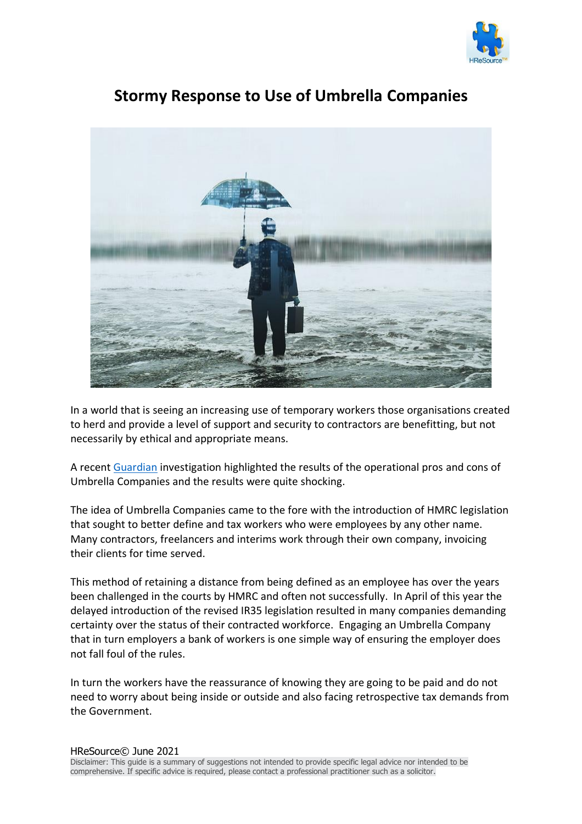



## **Stormy Response to Use of Umbrella Companies**

In a world that is seeing an increasing use of temporary workers those organisations created to herd and provide a level of support and security to contractors are benefitting, but not necessarily by ethical and appropriate means.

A recent [Guardian](https://www.theguardian.com/law/2021/may/27/recruiters-urged-to-clamp-down-on-exploitation-via-umbrella-companies) investigation highlighted the results of the operational pros and cons of Umbrella Companies and the results were quite shocking.

The idea of Umbrella Companies came to the fore with the introduction of HMRC legislation that sought to better define and tax workers who were employees by any other name. Many contractors, freelancers and interims work through their own company, invoicing their clients for time served.

This method of retaining a distance from being defined as an employee has over the years been challenged in the courts by HMRC and often not successfully. In April of this year the delayed introduction of the revised IR35 legislation resulted in many companies demanding certainty over the status of their contracted workforce. Engaging an Umbrella Company that in turn employers a bank of workers is one simple way of ensuring the employer does not fall foul of the rules.

In turn the workers have the reassurance of knowing they are going to be paid and do not need to worry about being inside or outside and also facing retrospective tax demands from the Government.

Disclaimer: This guide is a summary of suggestions not intended to provide specific legal advice nor intended to be comprehensive. If specific advice is required, please contact a professional practitioner such as a solicitor.